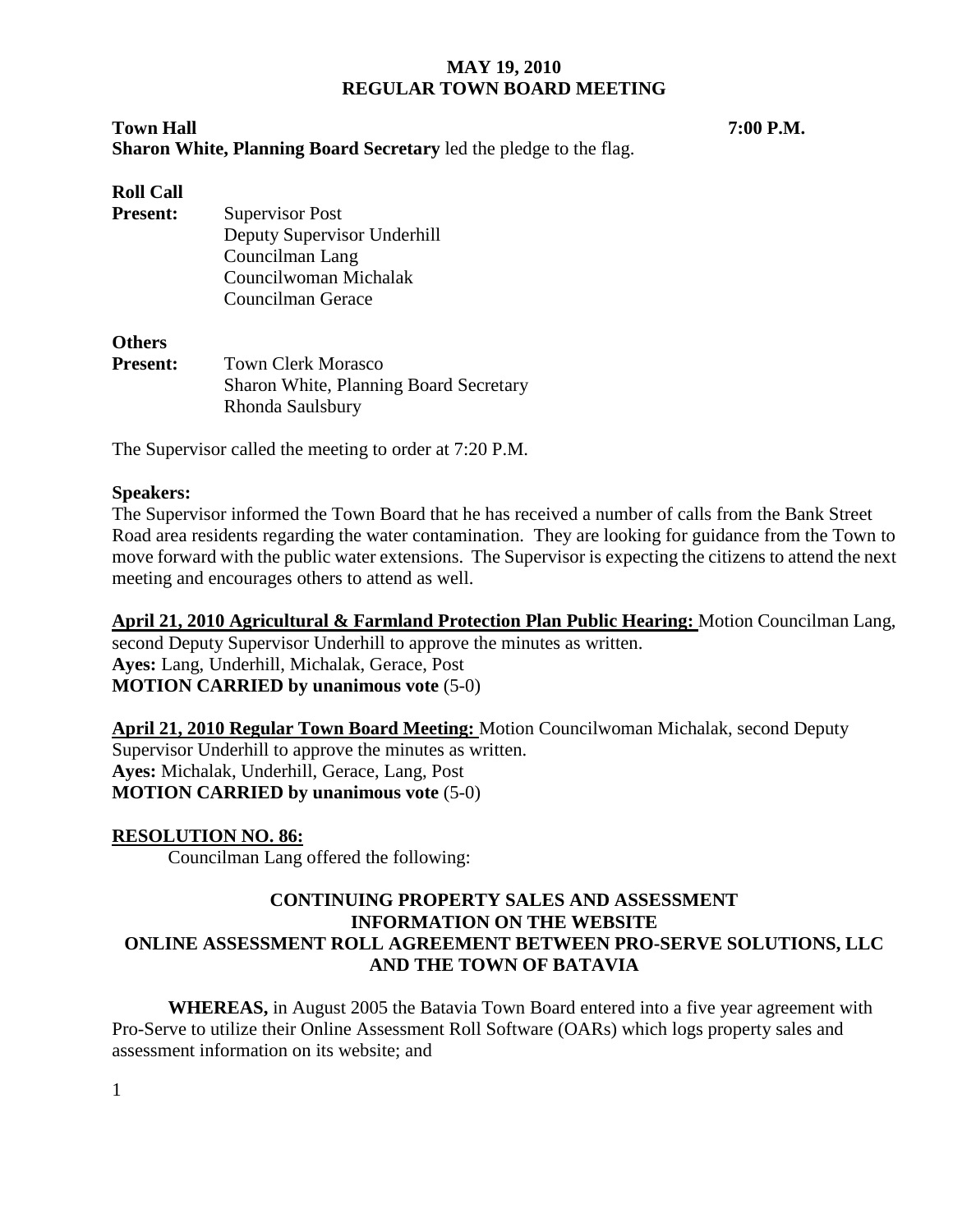# **Town Hall 7:00 P.M. Sharon White, Planning Board Secretary** led the pledge to the flag.

# **Roll Call**

**Present:** Supervisor Post Deputy Supervisor Underhill Councilman Lang Councilwoman Michalak Councilman Gerace

### **Others**

**Present:** Town Clerk Morasco Sharon White, Planning Board Secretary Rhonda Saulsbury

The Supervisor called the meeting to order at 7:20 P.M.

### **Speakers:**

The Supervisor informed the Town Board that he has received a number of calls from the Bank Street Road area residents regarding the water contamination. They are looking for guidance from the Town to move forward with the public water extensions. The Supervisor is expecting the citizens to attend the next meeting and encourages others to attend as well.

**April 21, 2010 Agricultural & Farmland Protection Plan Public Hearing:** Motion Councilman Lang, second Deputy Supervisor Underhill to approve the minutes as written. **Ayes:** Lang, Underhill, Michalak, Gerace, Post **MOTION CARRIED by unanimous vote** (5-0)

**April 21, 2010 Regular Town Board Meeting:** Motion Councilwoman Michalak, second Deputy Supervisor Underhill to approve the minutes as written. **Ayes:** Michalak, Underhill, Gerace, Lang, Post **MOTION CARRIED by unanimous vote** (5-0)

### **RESOLUTION NO. 86:**

Councilman Lang offered the following:

# **CONTINUING PROPERTY SALES AND ASSESSMENT INFORMATION ON THE WEBSITE ONLINE ASSESSMENT ROLL AGREEMENT BETWEEN PRO-SERVE SOLUTIONS, LLC AND THE TOWN OF BATAVIA**

**WHEREAS,** in August 2005 the Batavia Town Board entered into a five year agreement with Pro-Serve to utilize their Online Assessment Roll Software (OARs) which logs property sales and assessment information on its website; and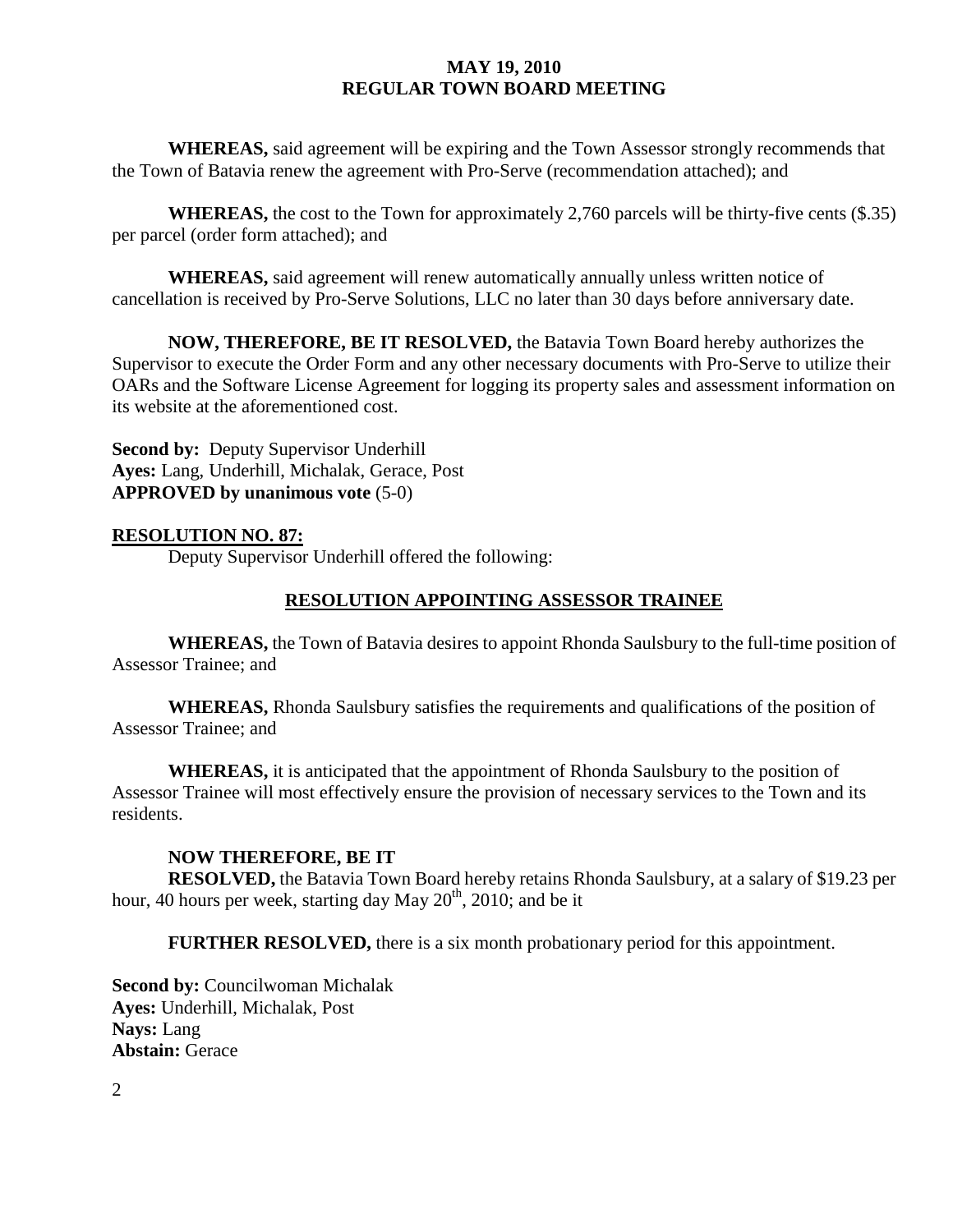**WHEREAS,** said agreement will be expiring and the Town Assessor strongly recommends that the Town of Batavia renew the agreement with Pro-Serve (recommendation attached); and

**WHEREAS,** the cost to the Town for approximately 2,760 parcels will be thirty-five cents (\$.35) per parcel (order form attached); and

**WHEREAS,** said agreement will renew automatically annually unless written notice of cancellation is received by Pro-Serve Solutions, LLC no later than 30 days before anniversary date.

**NOW, THEREFORE, BE IT RESOLVED,** the Batavia Town Board hereby authorizes the Supervisor to execute the Order Form and any other necessary documents with Pro-Serve to utilize their OARs and the Software License Agreement for logging its property sales and assessment information on its website at the aforementioned cost.

**Second by:** Deputy Supervisor Underhill **Ayes:** Lang, Underhill, Michalak, Gerace, Post **APPROVED by unanimous vote** (5-0)

### **RESOLUTION NO. 87:**

Deputy Supervisor Underhill offered the following:

### **RESOLUTION APPOINTING ASSESSOR TRAINEE**

 **WHEREAS,** the Town of Batavia desires to appoint Rhonda Saulsbury to the full-time position of Assessor Trainee; and

**WHEREAS,** Rhonda Saulsbury satisfies the requirements and qualifications of the position of Assessor Trainee; and

**WHEREAS,** it is anticipated that the appointment of Rhonda Saulsbury to the position of Assessor Trainee will most effectively ensure the provision of necessary services to the Town and its residents.

### **NOW THEREFORE, BE IT**

**RESOLVED,** the Batavia Town Board hereby retains Rhonda Saulsbury, at a salary of \$19.23 per hour, 40 hours per week, starting day May  $20^{th}$ ,  $2010$ ; and be it

**FURTHER RESOLVED,** there is a six month probationary period for this appointment.

**Second by:** Councilwoman Michalak **Ayes:** Underhill, Michalak, Post **Nays:** Lang **Abstain:** Gerace

2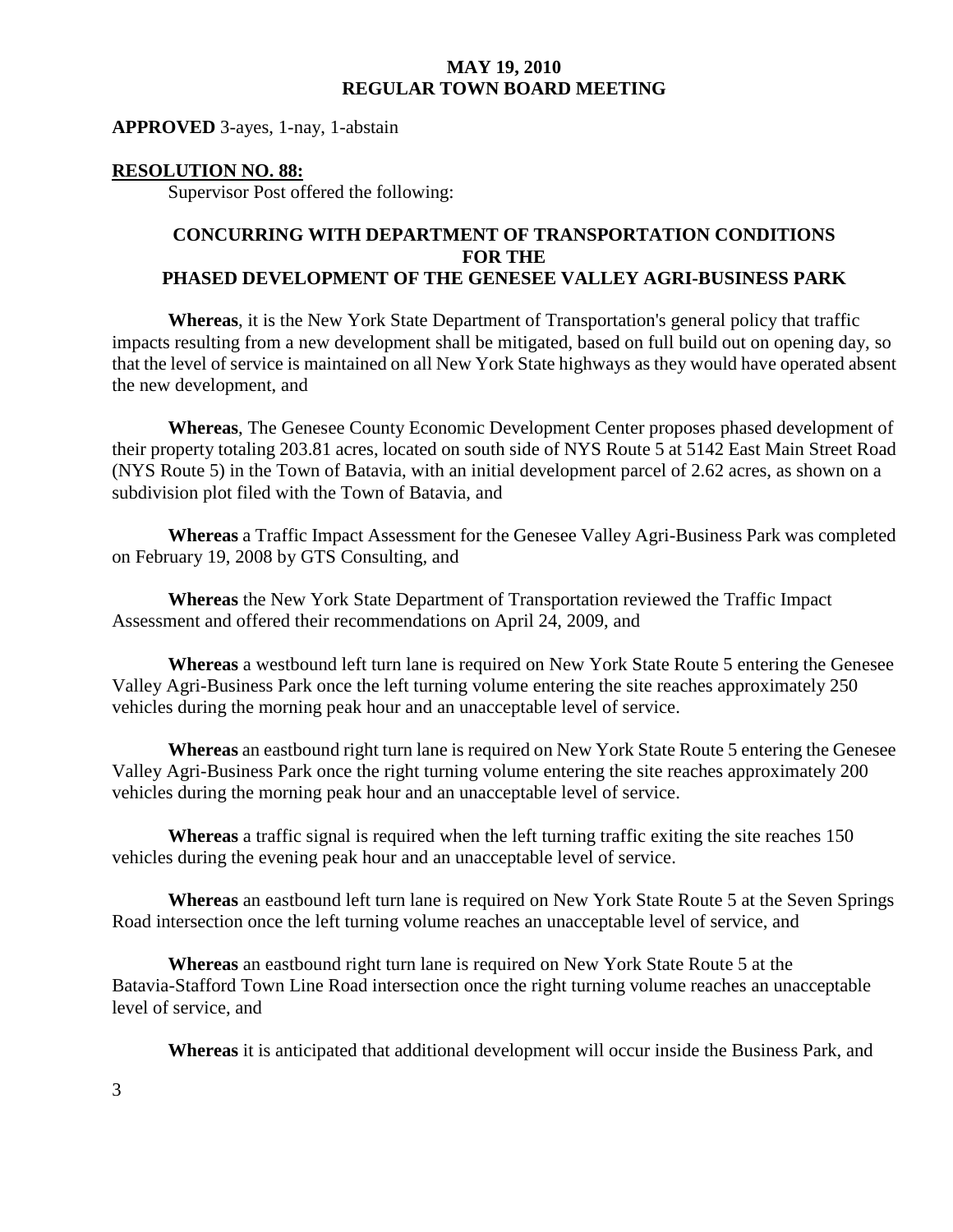#### **APPROVED** 3-ayes, 1-nay, 1-abstain

#### **RESOLUTION NO. 88:**

Supervisor Post offered the following:

## **CONCURRING WITH DEPARTMENT OF TRANSPORTATION CONDITIONS FOR THE PHASED DEVELOPMENT OF THE GENESEE VALLEY AGRI-BUSINESS PARK**

**Whereas**, it is the New York State Department of Transportation's general policy that traffic impacts resulting from a new development shall be mitigated, based on full build out on opening day, so that the level of service is maintained on all New York State highways as they would have operated absent the new development, and

**Whereas**, The Genesee County Economic Development Center proposes phased development of their property totaling 203.81 acres, located on south side of NYS Route 5 at 5142 East Main Street Road (NYS Route 5) in the Town of Batavia, with an initial development parcel of 2.62 acres, as shown on a subdivision plot filed with the Town of Batavia, and

**Whereas** a Traffic Impact Assessment for the Genesee Valley Agri-Business Park was completed on February 19, 2008 by GTS Consulting, and

**Whereas** the New York State Department of Transportation reviewed the Traffic Impact Assessment and offered their recommendations on April 24, 2009, and

**Whereas** a westbound left turn lane is required on New York State Route 5 entering the Genesee Valley Agri-Business Park once the left turning volume entering the site reaches approximately 250 vehicles during the morning peak hour and an unacceptable level of service.

**Whereas** an eastbound right turn lane is required on New York State Route 5 entering the Genesee Valley Agri-Business Park once the right turning volume entering the site reaches approximately 200 vehicles during the morning peak hour and an unacceptable level of service.

**Whereas** a traffic signal is required when the left turning traffic exiting the site reaches 150 vehicles during the evening peak hour and an unacceptable level of service.

**Whereas** an eastbound left turn lane is required on New York State Route 5 at the Seven Springs Road intersection once the left turning volume reaches an unacceptable level of service, and

**Whereas** an eastbound right turn lane is required on New York State Route 5 at the Batavia-Stafford Town Line Road intersection once the right turning volume reaches an unacceptable level of service, and

**Whereas** it is anticipated that additional development will occur inside the Business Park, and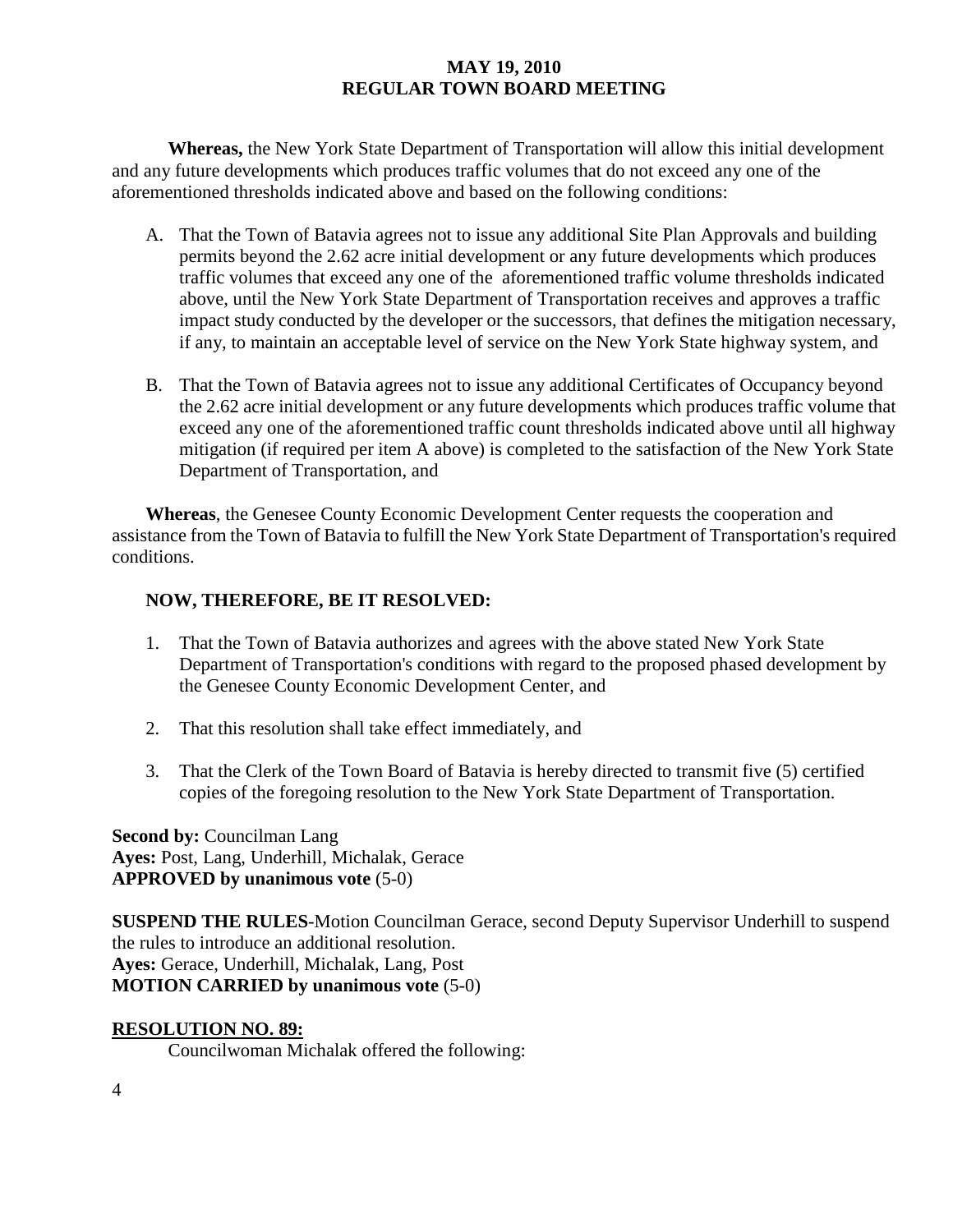**Whereas,** the New York State Department of Transportation will allow this initial development and any future developments which produces traffic volumes that do not exceed any one of the aforementioned thresholds indicated above and based on the following conditions:

- A. That the Town of Batavia agrees not to issue any additional Site Plan Approvals and building permits beyond the 2.62 acre initial development or any future developments which produces traffic volumes that exceed any one of the aforementioned traffic volume thresholds indicated above, until the New York State Department of Transportation receives and approves a traffic impact study conducted by the developer or the successors, that defines the mitigation necessary, if any, to maintain an acceptable level of service on the New York State highway system, and
- B. That the Town of Batavia agrees not to issue any additional Certificates of Occupancy beyond the 2.62 acre initial development or any future developments which produces traffic volume that exceed any one of the aforementioned traffic count thresholds indicated above until all highway mitigation (if required per item A above) is completed to the satisfaction of the New York State Department of Transportation, and

 **Whereas**, the Genesee County Economic Development Center requests the cooperation and assistance from the Town of Batavia to fulfill the New York State Department of Transportation's required conditions.

# **NOW, THEREFORE, BE IT RESOLVED:**

- 1. That the Town of Batavia authorizes and agrees with the above stated New York State Department of Transportation's conditions with regard to the proposed phased development by the Genesee County Economic Development Center, and
- 2. That this resolution shall take effect immediately, and
- 3. That the Clerk of the Town Board of Batavia is hereby directed to transmit five (5) certified copies of the foregoing resolution to the New York State Department of Transportation.

**Second by:** Councilman Lang **Ayes:** Post, Lang, Underhill, Michalak, Gerace **APPROVED by unanimous vote** (5-0)

**SUSPEND THE RULES**-Motion Councilman Gerace, second Deputy Supervisor Underhill to suspend the rules to introduce an additional resolution. **Ayes:** Gerace, Underhill, Michalak, Lang, Post **MOTION CARRIED by unanimous vote** (5-0)

# **RESOLUTION NO. 89:**

Councilwoman Michalak offered the following: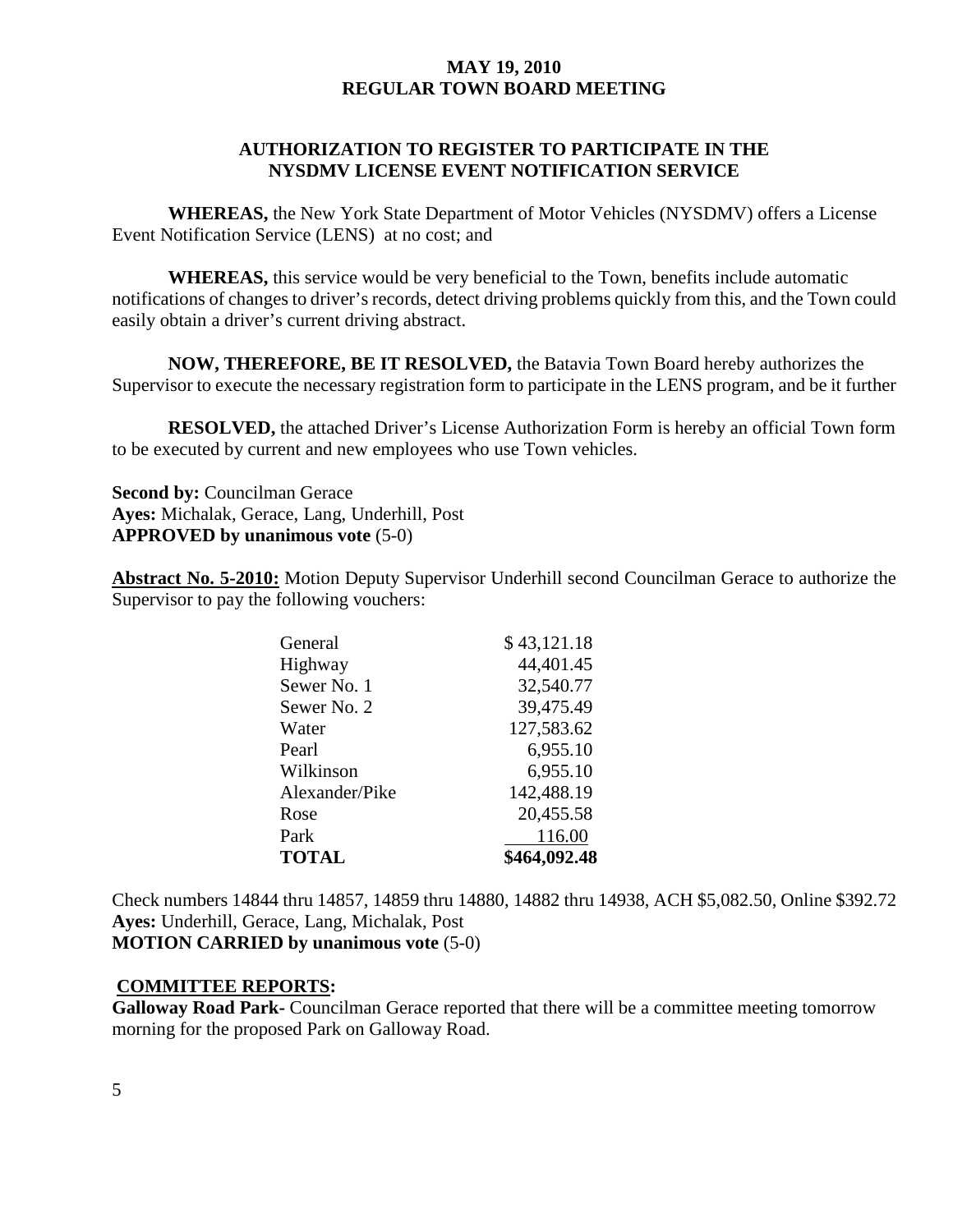## **AUTHORIZATION TO REGISTER TO PARTICIPATE IN THE NYSDMV LICENSE EVENT NOTIFICATION SERVICE**

**WHEREAS,** the New York State Department of Motor Vehicles (NYSDMV) offers a License Event Notification Service (LENS) at no cost; and

**WHEREAS,** this service would be very beneficial to the Town, benefits include automatic notifications of changes to driver's records, detect driving problems quickly from this, and the Town could easily obtain a driver's current driving abstract.

**NOW, THEREFORE, BE IT RESOLVED,** the Batavia Town Board hereby authorizes the Supervisor to execute the necessary registration form to participate in the LENS program, and be it further

**RESOLVED,** the attached Driver's License Authorization Form is hereby an official Town form to be executed by current and new employees who use Town vehicles.

**Second by:** Councilman Gerace **Ayes:** Michalak, Gerace, Lang, Underhill, Post **APPROVED by unanimous vote** (5-0)

**Abstract No. 5-2010:** Motion Deputy Supervisor Underhill second Councilman Gerace to authorize the Supervisor to pay the following vouchers:

| General        | \$43,121.18  |
|----------------|--------------|
| Highway        | 44,401.45    |
| Sewer No. 1    | 32,540.77    |
| Sewer No. 2    | 39,475.49    |
| Water          | 127,583.62   |
| Pearl          | 6,955.10     |
| Wilkinson      | 6,955.10     |
| Alexander/Pike | 142,488.19   |
| Rose           | 20,455.58    |
| Park           | 116.00       |
| <b>TOTAL</b>   | \$464,092.48 |

Check numbers 14844 thru 14857, 14859 thru 14880, 14882 thru 14938, ACH \$5,082.50, Online \$392.72 **Ayes:** Underhill, Gerace, Lang, Michalak, Post

**MOTION CARRIED by unanimous vote** (5-0)

### **COMMITTEE REPORTS:**

**Galloway Road Park-** Councilman Gerace reported that there will be a committee meeting tomorrow morning for the proposed Park on Galloway Road.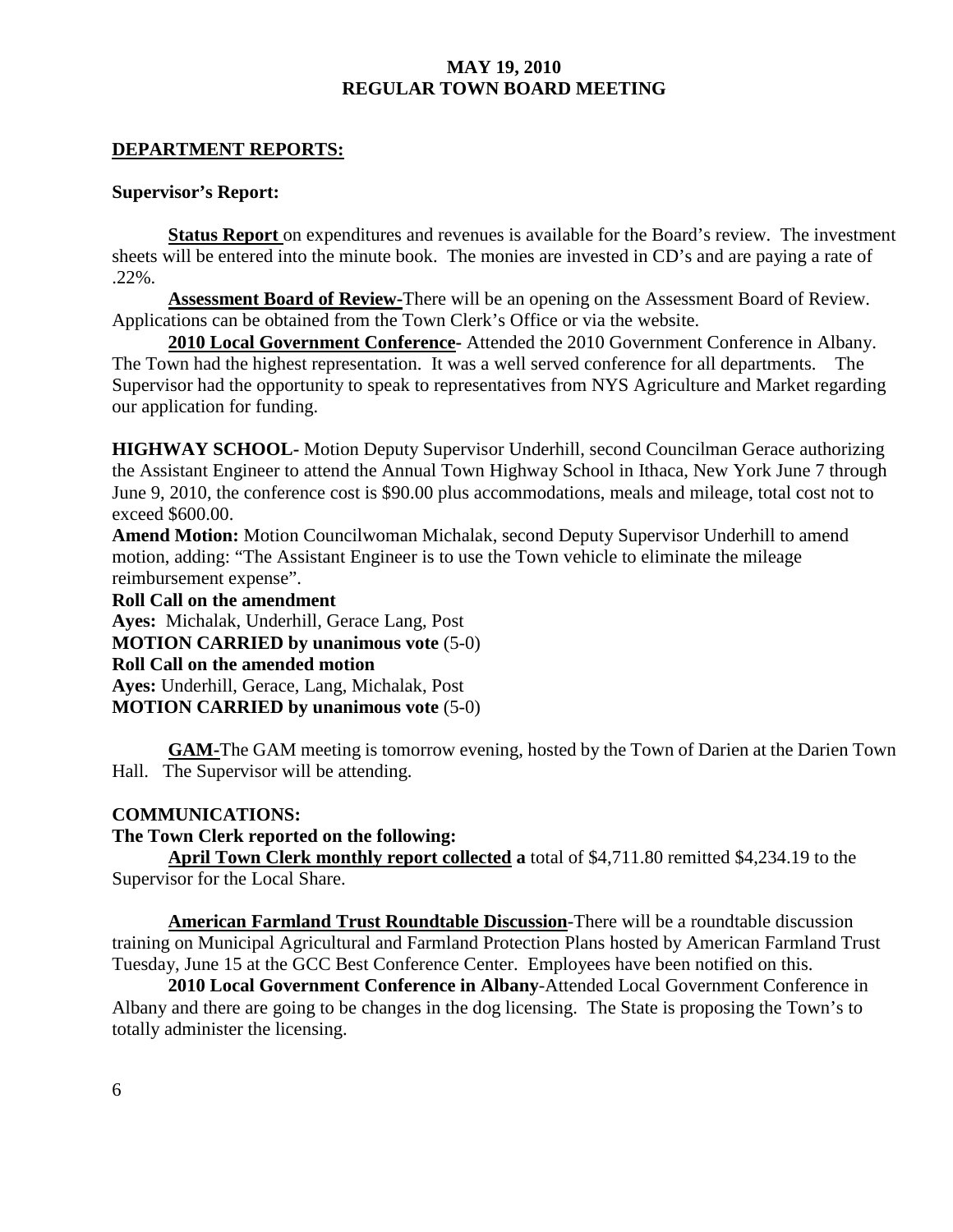### **DEPARTMENT REPORTS:**

#### **Supervisor's Report:**

**Status Report** on expenditures and revenues is available for the Board's review. The investment sheets will be entered into the minute book. The monies are invested in CD's and are paying a rate of .22%.

**Assessment Board of Review-**There will be an opening on the Assessment Board of Review. Applications can be obtained from the Town Clerk's Office or via the website.

**2010 Local Government Conference-** Attended the 2010 Government Conference in Albany. The Town had the highest representation. It was a well served conference for all departments. The Supervisor had the opportunity to speak to representatives from NYS Agriculture and Market regarding our application for funding.

**HIGHWAY SCHOOL-** Motion Deputy Supervisor Underhill, second Councilman Gerace authorizing the Assistant Engineer to attend the Annual Town Highway School in Ithaca, New York June 7 through June 9, 2010, the conference cost is \$90.00 plus accommodations, meals and mileage, total cost not to exceed \$600.00.

**Amend Motion:** Motion Councilwoman Michalak, second Deputy Supervisor Underhill to amend motion, adding: "The Assistant Engineer is to use the Town vehicle to eliminate the mileage reimbursement expense".

**Roll Call on the amendment** 

**Ayes:** Michalak, Underhill, Gerace Lang, Post

**MOTION CARRIED by unanimous vote** (5-0)

**Roll Call on the amended motion** 

**Ayes:** Underhill, Gerace, Lang, Michalak, Post **MOTION CARRIED by unanimous vote** (5-0)

**GAM-**The GAM meeting is tomorrow evening, hosted by the Town of Darien at the Darien Town Hall. The Supervisor will be attending.

### **COMMUNICATIONS:**

### **The Town Clerk reported on the following:**

**April Town Clerk monthly report collected a** total of \$4,711.80 remitted \$4,234.19 to the Supervisor for the Local Share.

**American Farmland Trust Roundtable Discussion**-There will be a roundtable discussion training on Municipal Agricultural and Farmland Protection Plans hosted by American Farmland Trust Tuesday, June 15 at the GCC Best Conference Center. Employees have been notified on this.

**2010 Local Government Conference in Albany**-Attended Local Government Conference in Albany and there are going to be changes in the dog licensing. The State is proposing the Town's to totally administer the licensing.